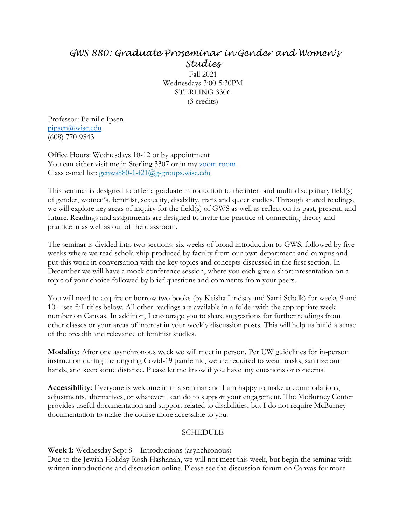# *GWS 880: Graduate Proseminar in Gender and Women's Studies* Fall 2021 Wednesdays 3:00-5:30PM

STERLING 3306 (3 credits)

Professor: Pernille Ipsen [pipsen@wisc.edu](mailto:pipsen@wisc.edu) (608) 770-9843

Office Hours: Wednesdays 10-12 or by appointment You can either visit me in Sterling 3307 or in my [zoom room](https://uwmadison.zoom.us/j/9219767914) Class e-mail list: [genws880-1-f21@g-groups.wisc.edu](mailto:genws880-1-f21@g-groups.wisc.edu)

This seminar is designed to offer a graduate introduction to the inter- and multi-disciplinary field(s) of gender, women's, feminist, sexuality, disability, trans and queer studies. Through shared readings, we will explore key areas of inquiry for the field(s) of GWS as well as reflect on its past, present, and future. Readings and assignments are designed to invite the practice of connecting theory and practice in as well as out of the classroom.

The seminar is divided into two sections: six weeks of broad introduction to GWS, followed by five weeks where we read scholarship produced by faculty from our own department and campus and put this work in conversation with the key topics and concepts discussed in the first section. In December we will have a mock conference session, where you each give a short presentation on a topic of your choice followed by brief questions and comments from your peers.

You will need to acquire or borrow two books (by Keisha Lindsay and Sami Schalk) for weeks 9 and 10 – see full titles below. All other readings are available in a folder with the appropriate week number on Canvas. In addition, I encourage you to share suggestions for further readings from other classes or your areas of interest in your weekly discussion posts. This will help us build a sense of the breadth and relevance of feminist studies.

**Modality**: After one asynchronous week we will meet in person. Per UW guidelines for in-person instruction during the ongoing Covid-19 pandemic, we are required to wear masks, sanitize our hands, and keep some distance. Please let me know if you have any questions or concerns.

**Accessibility:** Everyone is welcome in this seminar and I am happy to make accommodations, adjustments, alternatives, or whatever I can do to support your engagement. The McBurney Center provides useful documentation and support related to disabilities, but I do not require McBurney documentation to make the course more accessible to you.

### SCHEDULE

**Week 1:** Wednesday Sept 8 – Introductions (asynchronous)

Due to the Jewish Holiday Rosh Hashanah, we will not meet this week, but begin the seminar with written introductions and discussion online. Please see the discussion forum on Canvas for more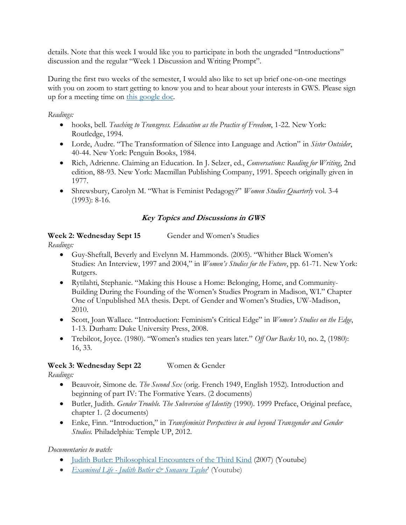details. Note that this week I would like you to participate in both the ungraded "Introductions" discussion and the regular "Week 1 Discussion and Writing Prompt".

During the first two weeks of the semester, I would also like to set up brief one-on-one meetings with you on zoom to start getting to know you and to hear about your interests in GWS. Please sign up for a meeting time on [this google doc.](https://docs.google.com/document/d/1-X2m44BtU8CjXi7K7QnEKmj8VNWNZ0dKyuWT7rcG5zc/edit)

### *Readings:*

- hooks, bell. *Teaching to Transgress. Education as the Practice of Freedom*, 1-22. New York: Routledge, 1994.
- Lorde, Audre. "The Transformation of Silence into Language and Action" in *Sister Outsider*, 40-44. New York: Penguin Books, 1984.
- Rich, Adrienne. Claiming an Education. In J. Selzer, ed., *Conversations: Reading for Writing*, 2nd edition, 88-93. New York: Macmillan Publishing Company, 1991. Speech originally given in 1977.
- Shrewsbury, Carolyn M. "What is Feminist Pedagogy?" *Women Studies Quarterly* vol. 3-4 (1993): 8-16.

## **Key Topics and Discussions in GWS**

### **Week 2: Wednesday Sept 15** Gender and Women's Studies

*Readings:*

- Guy-Sheftall, Beverly and Evelynn M. Hammonds. (2005). "Whither Black Women's Studies: An Interview, 1997 and 2004," in *Women's Studies for the Future*, pp. 61-71. New York: Rutgers.
- Rytilahti, Stephanie. "Making this House a Home: Belonging, Home, and Community-Building During the Founding of the Women's Studies Program in Madison, WI." Chapter One of Unpublished MA thesis. Dept. of Gender and Women's Studies, UW-Madison, 2010.
- Scott, Joan Wallace. "Introduction: Feminism's Critical Edge" in *Women's Studies on the Edge*, 1-13. Durham: Duke University Press, 2008.
- Trebilcot, Joyce. (1980). "Women's studies ten years later." *Off Our Backs* 10, no. 2, (1980): 16, 33.

## **Week 3: Wednesday Sept 22** Women & Gender

*Readings:*

- Beauvoir*,* Simone de. *The Second Sex* (orig. French 1949, English 1952). Introduction and beginning of part IV: The Formative Years. (2 documents)
- Butler, Judith. *Gender Trouble. The Subversion of Identity* (1990). 1999 Preface, Original preface, chapter 1. (2 documents)
- Enke, Finn. "Introduction," in *Transfeminist Perspectives in and beyond Transgender and Gender Studies.* Philadelphia: Temple UP, 2012.

## *Documentaries to watch:*

- [Judith Butler: Philosophical Encounters of the Third Kind](https://youtu.be/dDQ_-Gvyj18) (2007) (Youtube)
- *Examined Life [Judith Butler & Sunaura Taylor](https://youtu.be/k0HZaPkF6qE)'* (Youtube)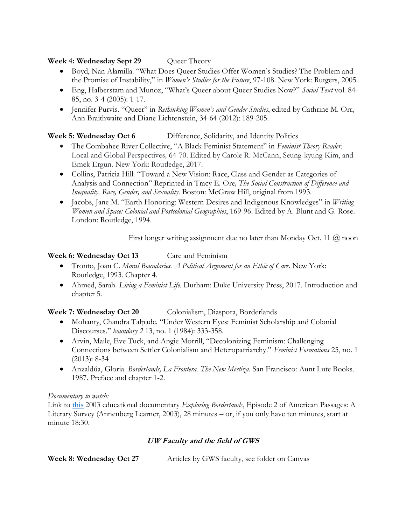## **Week 4: Wednesday Sept 29** Queer Theory

- Boyd, Nan Alamilla. "What Does Queer Studies Offer Women's Studies? The Problem and the Promise of Instability," in *Women's Studies for the Future*, 97-108. New York: Rutgers, 2005.
- Eng, Halberstam and Munoz, "What's Queer about Queer Studies Now?" *Social Text* vol. 84- 85, no. 3-4 (2005): 1-17.
- Jennifer Purvis. "Queer" in *Rethinking Women's and Gender Studies*, edited by Cathrine M. Orr, Ann Braithwaite and Diane Lichtenstein, 34-64 (2012): 189-205.

## **Week 5: Wednesday Oct 6** Difference, Solidarity, and Identity Politics

- The Combahee River Collective, "A Black Feminist Statement" in *Feminist Theory Reader.*  Local and Global Perspectives*,* 64-70. Edited by Carole R. McCann, Seung-kyung Kim, and Emek Ergun. New York: Routledge, 2017.
- Collins, Patricia Hill. "Toward a New Vision: Race, Class and Gender as Categories of Analysis and Connection" Reprinted in Tracy E. Ore*, The Social Construction of Difference and Inequality. Race, Gender, and Sexuality*. Boston: McGraw Hill, original from 1993.
- Jacobs, Jane M. "Earth Honoring: Western Desires and Indigenous Knowledges" in *Writing Women and Space: Colonial and Postcolonial Geographies*, 169-96. Edited by A. Blunt and G. Rose. London: Routledge, 1994.

First longer writing assignment due no later than Monday Oct. 11 @ noon

## **Week 6: Wednesday Oct 13** Care and Feminism

- Tronto, Joan C. *Moral Boundaries. A Political Argument for an Ethic of Care*. New York: Routledge, 1993. Chapter 4.
- Ahmed, Sarah. *Living a Feminist Life.* Durham: Duke University Press, 2017. Introduction and chapter 5.

## Week 7: Wednesday Oct 20 Colonialism, Diaspora, Borderlands

- Mohanty, Chandra Talpade. "Under Western Eyes: Feminist Scholarship and Colonial Discourses." *boundary 2* 13, no. 1 (1984): 333-358.
- Arvin, Maile, Eve Tuck, and Angie Morrill, "Decolonizing Feminism: Challenging Connections between Settler Colonialism and Heteropatriarchy." *Feminist Formations* 25, no. 1 (2013): 8-34
- Anzaldúa, Gloria. *Borderlands, La Frontera. The New Mestiza.* San Francisco: Aunt Lute Books. 1987. Preface and chapter 1-2.

## *Documentary to watch:*

Link to [this](https://ezproxy.library.wisc.edu/login?url=https://video.alexanderstreet.com/watch/exploring-borderlands) 2003 educational documentary *Exploring Borderlands*, Episode 2 of American Passages: A Literary Survey (Annenberg Learner, 2003), 28 minutes – or, if you only have ten minutes, start at minute 18:30.

## **UW Faculty and the field of GWS**

| Week 8: Wednesday Oct 27 | Articles by GWS faculty, see folder on Canvas |
|--------------------------|-----------------------------------------------|
|                          |                                               |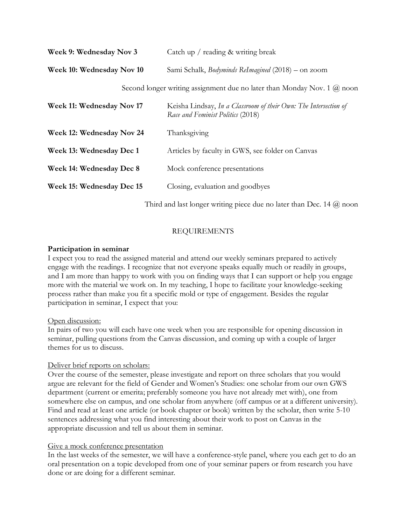| Week 9: Wednesday Nov 3                                                           | Catch up / reading & writing break                                                                    |
|-----------------------------------------------------------------------------------|-------------------------------------------------------------------------------------------------------|
| Week 10: Wednesday Nov 10                                                         | Sami Schalk, <i>Bodyminds ReImagined</i> (2018) – on zoom                                             |
| Second longer writing assignment due no later than Monday Nov. 1 $(\hat{a})$ noon |                                                                                                       |
| Week 11: Wednesday Nov 17                                                         | Keisha Lindsay, In a Classroom of their Own: The Intersection of<br>Race and Feminist Politics (2018) |
| Week 12: Wednesday Nov 24                                                         | Thanksgiving                                                                                          |
| Week 13: Wednesday Dec 1                                                          | Articles by faculty in GWS, see folder on Canvas                                                      |
| Week 14: Wednesday Dec 8                                                          | Mock conference presentations                                                                         |
| Week 15: Wednesday Dec 15                                                         | Closing, evaluation and goodbyes                                                                      |
|                                                                                   |                                                                                                       |

Third and last longer writing piece due no later than Dec. 14  $(\hat{a})$  noon

## REQUIREMENTS

### **Participation in seminar**

I expect you to read the assigned material and attend our weekly seminars prepared to actively engage with the readings. I recognize that not everyone speaks equally much or readily in groups, and I am more than happy to work with you on finding ways that I can support or help you engage more with the material we work on. In my teaching, I hope to facilitate your knowledge-seeking process rather than make you fit a specific mold or type of engagement. Besides the regular participation in seminar, I expect that you:

### Open discussion:

In pairs of two you will each have one week when you are responsible for opening discussion in seminar, pulling questions from the Canvas discussion, and coming up with a couple of larger themes for us to discuss.

## Deliver brief reports on scholars:

Over the course of the semester, please investigate and report on three scholars that you would argue are relevant for the field of Gender and Women's Studies: one scholar from our own GWS department (current or emerita; preferably someone you have not already met with), one from somewhere else on campus, and one scholar from anywhere (off campus or at a different university). Find and read at least one article (or book chapter or book) written by the scholar, then write 5-10 sentences addressing what you find interesting about their work to post on Canvas in the appropriate discussion and tell us about them in seminar.

## Give a mock conference presentation

In the last weeks of the semester, we will have a conference-style panel, where you each get to do an oral presentation on a topic developed from one of your seminar papers or from research you have done or are doing for a different seminar.